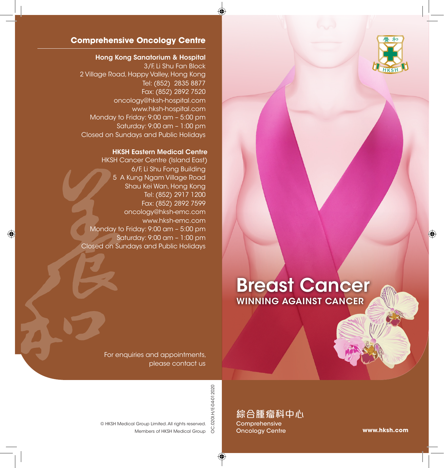

### **Comprehensive Oncology Centre**

#### Hong Kong Sanatorium & Hospital

3/F, Li Shu Fan Block 2 Village Road, Happy Valley, Hong Kong Tel: (852) 2835 8877 Fax: (852) 2892 7520 oncology@hksh-hospital.com www.hksh-hospital.com Monday to Friday: 9:00 am – 5:00 pm Saturday: 9:00 am – 1:00 pm Closed on Sundays and Public Holidays

#### HKSH Eastern Medical Centre

HKSH Cancer Centre (Island East) 6/F, Li Shu Fong Building 5 A Kung Ngam Village Road Shau Kei Wan, Hong Kong Tel: (852) 2917 1200 Fax: (852) 2892 7599 oncology@hksh-emc.com www.hksh-emc.com Monday to Friday: 9:00 am – 5:00 pm Saturday: 9:00 am – 1:00 pm Closed on Sundays and Public Holidays

# Breast Cancer WINNING AGAINST CANCER

For enquiries and appointments, please contact us

> OC.020I.H/E-04-012020 OC.020I.H/E-04-012020

Members of HKSH Medical Group © HKSH Medical Group Limited. All rights reserved.

綜合腫瘤科中心 **Comprehensive** Oncology Centre

**www.hksh.com**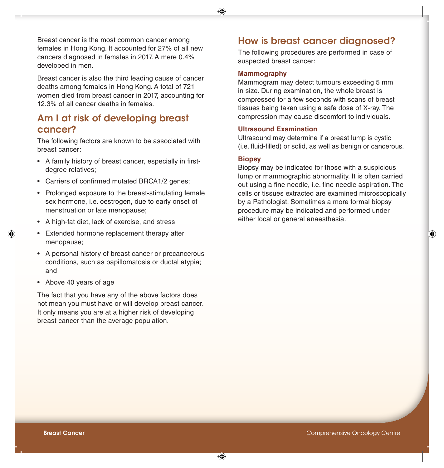Breast cancer is the most common cancer among females in Hong Kong. It accounted for 27% of all new cancers diagnosed in females in 2017. A mere 0.4% developed in men.

Breast cancer is also the third leading cause of cancer deaths among females in Hong Kong. A total of 721 women died from breast cancer in 2017, accounting for 12.3% of all cancer deaths in females.

### Am I at risk of developing breast cancer?

The following factors are known to be associated with breast cancer:

- A family history of breast cancer, especially in firstdegree relatives;
- Carriers of confirmed mutated BRCA1/2 genes;
- Prolonged exposure to the breast-stimulating female sex hormone, i.e. oestrogen, due to early onset of menstruation or late menopause;
- A high-fat diet, lack of exercise, and stress
- Extended hormone replacement therapy after menopause;
- A personal history of breast cancer or precancerous conditions, such as papillomatosis or ductal atypia; and
- Above 40 years of age

The fact that you have any of the above factors does not mean you must have or will develop breast cancer. It only means you are at a higher risk of developing breast cancer than the average population.

### How is breast cancer diagnosed?

The following procedures are performed in case of suspected breast cancer:

#### **Mammography**

Mammogram may detect tumours exceeding 5 mm in size. During examination, the whole breast is compressed for a few seconds with scans of breast tissues being taken using a safe dose of X-ray. The compression may cause discomfort to individuals.

### **Ultrasound Examination**

Ultrasound may determine if a breast lump is cystic (i.e. fluid-filled) or solid, as well as benign or cancerous.

#### **Biopsy**

Biopsy may be indicated for those with a suspicious lump or mammographic abnormality. It is often carried out using a fine needle, i.e. fine needle aspiration. The cells or tissues extracted are examined microscopically by a Pathologist. Sometimes a more formal biopsy procedure may be indicated and performed under either local or general anaesthesia.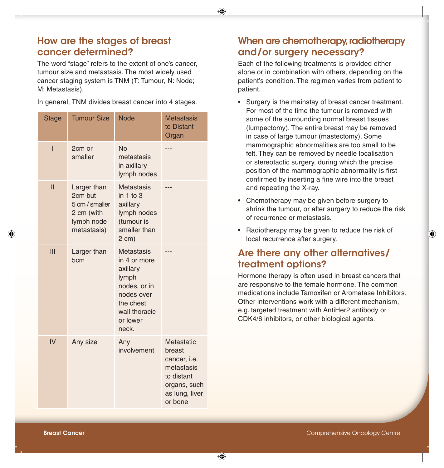### How are the stages of breast cancer determined?

The word "stage" refers to the extent of one's cancer, tumour size and metastasis. The most widely used cancer staging system is TNM (T: Tumour, N: Node; M: Metastasis).

|  |  |  |  |  |  |  | In general, TNM divides breast cancer into 4 stages. |  |
|--|--|--|--|--|--|--|------------------------------------------------------|--|
|--|--|--|--|--|--|--|------------------------------------------------------|--|

| <b>Stage</b>             | <b>Tumour Size</b>                                                                  | <b>Node</b>                                                                                                                      | <b>Metastasis</b><br>to Distant<br>Organ                                                                             |
|--------------------------|-------------------------------------------------------------------------------------|----------------------------------------------------------------------------------------------------------------------------------|----------------------------------------------------------------------------------------------------------------------|
| $\overline{1}$           | 2cm or<br>smaller                                                                   | <b>No</b><br>metastasis<br>in axillary<br>lymph nodes                                                                            |                                                                                                                      |
| $\overline{\mathsf{II}}$ | Larger than<br>2cm but<br>5 cm / smaller<br>2 cm (with<br>lymph node<br>metastasis) | <b>Metastasis</b><br>in $1$ to $3$<br>axillary<br>lymph nodes<br>(tumour is<br>smaller than<br>$2$ cm $)$                        |                                                                                                                      |
| III                      | Larger than<br>5cm                                                                  | Metastasis<br>in 4 or more<br>axillary<br>lymph<br>nodes, or in<br>nodes over<br>the chest<br>wall thoracic<br>or lower<br>neck. |                                                                                                                      |
| IV                       | Any size                                                                            | Any<br>involvement                                                                                                               | Metastatic<br>breast<br>cancer, <i>i.e.</i><br>metastasis<br>to distant<br>organs, such<br>as lung, liver<br>or bone |

# When are chemotherapy, radiotherapy and/or surgery necessary?

Each of the following treatments is provided either alone or in combination with others, depending on the patient's condition. The regimen varies from patient to patient.

- Surgery is the mainstay of breast cancer treatment. For most of the time the tumour is removed with some of the surrounding normal breast tissues (lumpectomy). The entire breast may be removed in case of large tumour (mastectomy). Some mammographic abnormalities are too small to be felt. They can be removed by needle localisation or stereotactic surgery, during which the precise position of the mammographic abnormality is first confirmed by inserting a fine wire into the breast and repeating the X-ray.
- Chemotherapy may be given before surgery to shrink the tumour, or after surgery to reduce the risk of recurrence or metastasis.
- Radiotherapy may be given to reduce the risk of local recurrence after surgery.

# Are there any other alternatives/ treatment options?

Hormone therapy is often used in breast cancers that are responsive to the female hormone. The common medications include Tamoxifen or Aromatase Inhibitors. Other interventions work with a different mechanism, e.g. targeted treatment with AntiHer2 antibody or CDK4/6 inhibitors, or other biological agents.